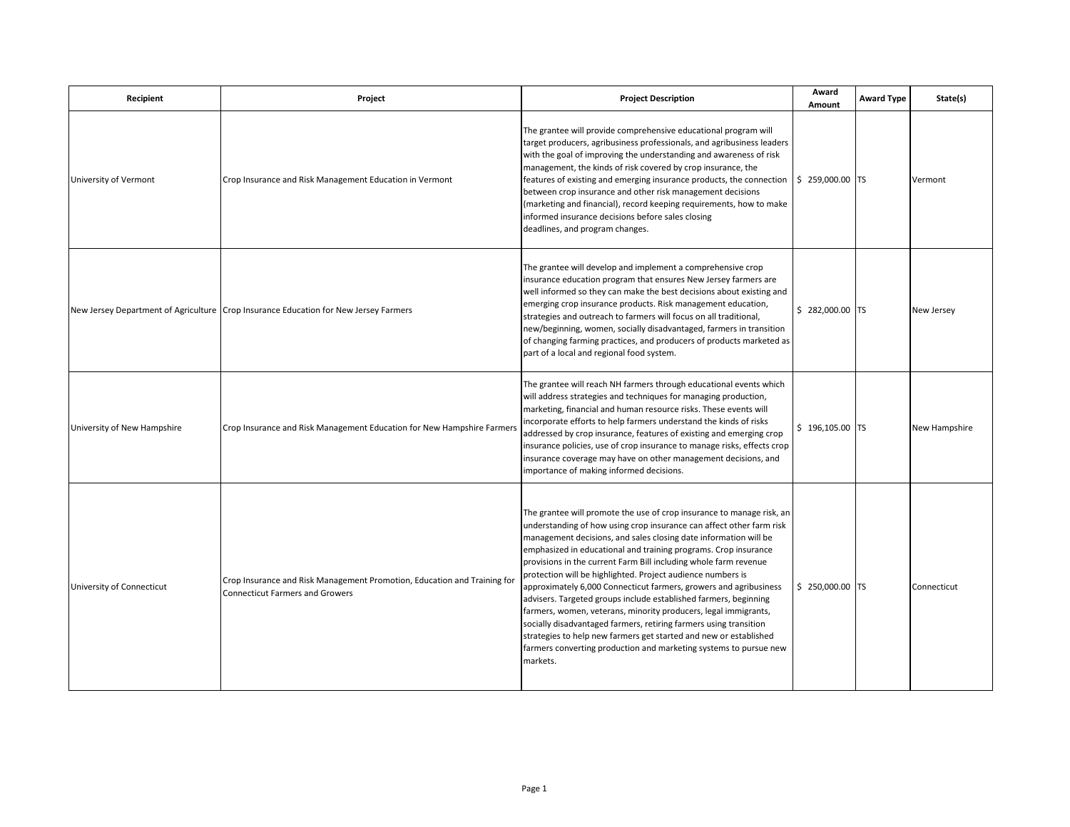| Recipient                   | Project                                                                                                            | <b>Project Description</b>                                                                                                                                                                                                                                                                                                                                                                                                                                                                                                                                                                                                                                                                                                                                                                                                                                     | Award<br>Amount  | <b>Award Type</b> | State(s)      |
|-----------------------------|--------------------------------------------------------------------------------------------------------------------|----------------------------------------------------------------------------------------------------------------------------------------------------------------------------------------------------------------------------------------------------------------------------------------------------------------------------------------------------------------------------------------------------------------------------------------------------------------------------------------------------------------------------------------------------------------------------------------------------------------------------------------------------------------------------------------------------------------------------------------------------------------------------------------------------------------------------------------------------------------|------------------|-------------------|---------------|
| University of Vermont       | Crop Insurance and Risk Management Education in Vermont                                                            | The grantee will provide comprehensive educational program will<br>target producers, agribusiness professionals, and agribusiness leaders<br>with the goal of improving the understanding and awareness of risk<br>management, the kinds of risk covered by crop insurance, the<br>features of existing and emerging insurance products, the connection<br>between crop insurance and other risk management decisions<br>(marketing and financial), record keeping requirements, how to make<br>informed insurance decisions before sales closing<br>deadlines, and program changes.                                                                                                                                                                                                                                                                           | \$ 259,000.00 TS |                   | Vermont       |
|                             | New Jersey Department of Agriculture Crop Insurance Education for New Jersey Farmers                               | The grantee will develop and implement a comprehensive crop<br>insurance education program that ensures New Jersey farmers are<br>well informed so they can make the best decisions about existing and<br>emerging crop insurance products. Risk management education,<br>strategies and outreach to farmers will focus on all traditional,<br>new/beginning, women, socially disadvantaged, farmers in transition<br>of changing farming practices, and producers of products marketed as<br>part of a local and regional food system.                                                                                                                                                                                                                                                                                                                        | $$282,000.00$ TS |                   | New Jersey    |
| University of New Hampshire | Crop Insurance and Risk Management Education for New Hampshire Farmers                                             | The grantee will reach NH farmers through educational events which<br>will address strategies and techniques for managing production,<br>marketing, financial and human resource risks. These events will<br>incorporate efforts to help farmers understand the kinds of risks<br>addressed by crop insurance, features of existing and emerging crop<br>insurance policies, use of crop insurance to manage risks, effects crop<br>insurance coverage may have on other management decisions, and<br>importance of making informed decisions.                                                                                                                                                                                                                                                                                                                 | $$196,105.00$ TS |                   | New Hampshire |
| University of Connecticut   | Crop Insurance and Risk Management Promotion, Education and Training for<br><b>Connecticut Farmers and Growers</b> | The grantee will promote the use of crop insurance to manage risk, an<br>understanding of how using crop insurance can affect other farm risk<br>management decisions, and sales closing date information will be<br>emphasized in educational and training programs. Crop insurance<br>provisions in the current Farm Bill including whole farm revenue<br>protection will be highlighted. Project audience numbers is<br>approximately 6,000 Connecticut farmers, growers and agribusiness<br>advisers. Targeted groups include established farmers, beginning<br>farmers, women, veterans, minority producers, legal immigrants,<br>socially disadvantaged farmers, retiring farmers using transition<br>strategies to help new farmers get started and new or established<br>farmers converting production and marketing systems to pursue new<br>markets. | \$ 250,000.00 TS |                   | Connecticut   |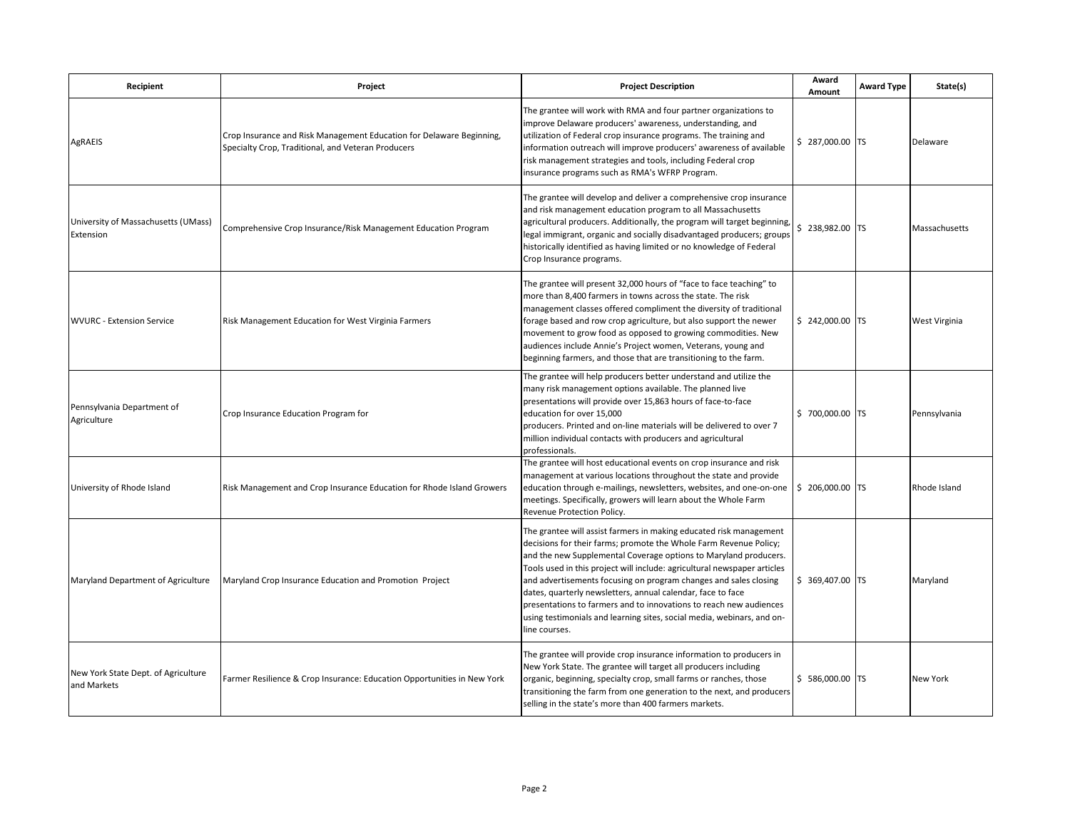| Recipient                                          | Project                                                                                                                    | <b>Project Description</b>                                                                                                                                                                                                                                                                                                                                                                                                                                                                                                                                                                  | Award<br>Amount  | <b>Award Type</b> | State(s)      |
|----------------------------------------------------|----------------------------------------------------------------------------------------------------------------------------|---------------------------------------------------------------------------------------------------------------------------------------------------------------------------------------------------------------------------------------------------------------------------------------------------------------------------------------------------------------------------------------------------------------------------------------------------------------------------------------------------------------------------------------------------------------------------------------------|------------------|-------------------|---------------|
| AgRAEIS                                            | Crop Insurance and Risk Management Education for Delaware Beginning,<br>Specialty Crop, Traditional, and Veteran Producers | The grantee will work with RMA and four partner organizations to<br>improve Delaware producers' awareness, understanding, and<br>utilization of Federal crop insurance programs. The training and<br>information outreach will improve producers' awareness of available<br>risk management strategies and tools, including Federal crop<br>insurance programs such as RMA's WFRP Program.                                                                                                                                                                                                  | \$ 287,000.00 TS |                   | Delaware      |
| University of Massachusetts (UMass)<br>Extension   | Comprehensive Crop Insurance/Risk Management Education Program                                                             | The grantee will develop and deliver a comprehensive crop insurance<br>and risk management education program to all Massachusetts<br>agricultural producers. Additionally, the program will target beginning,<br>legal immigrant, organic and socially disadvantaged producers; groups<br>historically identified as having limited or no knowledge of Federal<br>Crop Insurance programs.                                                                                                                                                                                                  | \$ 238,982.00 TS |                   | Massachusetts |
| <b>WVURC - Extension Service</b>                   | Risk Management Education for West Virginia Farmers                                                                        | The grantee will present 32,000 hours of "face to face teaching" to<br>more than 8,400 farmers in towns across the state. The risk<br>management classes offered compliment the diversity of traditional<br>forage based and row crop agriculture, but also support the newer<br>movement to grow food as opposed to growing commodities. New<br>audiences include Annie's Project women, Veterans, young and<br>beginning farmers, and those that are transitioning to the farm.                                                                                                           | $$242,000.00$ TS |                   | West Virginia |
| Pennsylvania Department of<br>Agriculture          | Crop Insurance Education Program for                                                                                       | The grantee will help producers better understand and utilize the<br>many risk management options available. The planned live<br>presentations will provide over 15,863 hours of face-to-face<br>education for over 15,000<br>producers. Printed and on-line materials will be delivered to over 7<br>million individual contacts with producers and agricultural<br>professionals.                                                                                                                                                                                                         | \$700,000.00 TS  |                   | Pennsylvania  |
| University of Rhode Island                         | Risk Management and Crop Insurance Education for Rhode Island Growers                                                      | The grantee will host educational events on crop insurance and risk<br>management at various locations throughout the state and provide<br>education through e-mailings, newsletters, websites, and one-on-one<br>meetings. Specifically, growers will learn about the Whole Farm<br>Revenue Protection Policy.                                                                                                                                                                                                                                                                             | \$ 206,000.00 TS |                   | Rhode Island  |
| Maryland Department of Agriculture                 | Maryland Crop Insurance Education and Promotion Project                                                                    | The grantee will assist farmers in making educated risk management<br>decisions for their farms; promote the Whole Farm Revenue Policy;<br>and the new Supplemental Coverage options to Maryland producers.<br>Tools used in this project will include: agricultural newspaper articles<br>and advertisements focusing on program changes and sales closing<br>dates, quarterly newsletters, annual calendar, face to face<br>presentations to farmers and to innovations to reach new audiences<br>using testimonials and learning sites, social media, webinars, and on-<br>line courses. | \$ 369,407.00 TS |                   | Maryland      |
| New York State Dept. of Agriculture<br>and Markets | Farmer Resilience & Crop Insurance: Education Opportunities in New York                                                    | The grantee will provide crop insurance information to producers in<br>New York State. The grantee will target all producers including<br>organic, beginning, specialty crop, small farms or ranches, those<br>transitioning the farm from one generation to the next, and producers<br>selling in the state's more than 400 farmers markets.                                                                                                                                                                                                                                               | \$586,000.00 TS  |                   | New York      |